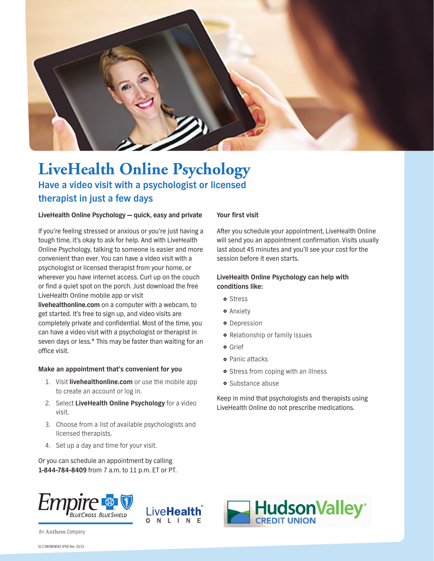

## **LiveHealth Online Psychology Have a video visit with a psychologist or licensed therapist in just a few days**

#### **LiveHealth Online Psychology — quick, easy and private**

If you're feeling stressed or anxious or you're just having a tough time, it's okay to ask for help. And with LiveHealth Online Psychology, talking to someone is easier and more convenient than ever. You can have a video visit with a psychologist or licensed therapist from your home, or wherever you have internet access. Curl up on the couch or find a quiet spot on the porch. Just download the free LiveHealth Online mobile app or visit

**[livehealthonline.com](http://www.livehealthonline.com)** on a computer with a webcam, to get started. It's free to sign up, and video visits are completely private and confidential. Most of the time, you can have a video visit with a psychologist or therapist in seven days or less.\* This may be faster than waiting for an office visit.

#### **Make an appointment that's convenient for you**

- 1. Visit **[livehealthonline.com](http://www.livehealthonline.com)** or use the mobile app to create an account or log in.
- 2. Select **LiveHealth Online Psychology** for a video visit.
- 3. Choose from a list of available psychologists and licensed therapists.
- 4. Set up a day and time for your visit.

Or you can schedule an appointment by calling **1-844-784-8409** from 7 a.m. to 11 p.m. ET or PT.

#### **Your first visit**

After you schedule your appointment, LiveHealth Online will send you an appointment confirmation. Visits usually last about 45 minutes and you'll see your cost for the session before it even starts.

#### **LiveHealth Online Psychology can help with conditions like:**

- o Stress
- **•** Anxiety
- **o** Depression
- **•** Relationship or family issues
- **o** Grief
- **•** Panic attacks
- **•** Stress from coping with an illness
- **o** Substance abuse

Keep in mind that psychologists and therapists using LiveHealth Online do not prescribe medications.